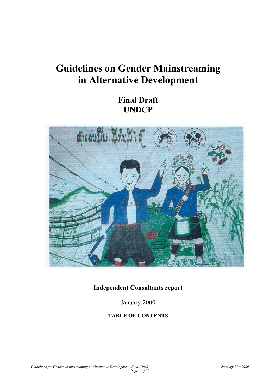# **Guidelines on Gender Mainstreaming in Alternative Development**

**Final Draft UNDCP** 



# **Independent Consultants report**

January 2000

# **TABLE OF CONTENTS**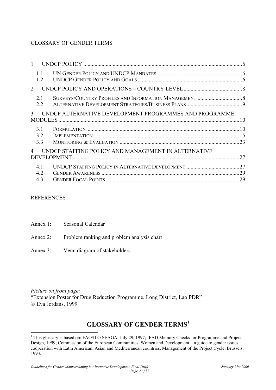# GLOSSARY OF GENDER TERMS

|                | 11<br>1.2         |                                                        |    |
|----------------|-------------------|--------------------------------------------------------|----|
| 2              |                   |                                                        |    |
|                | 2.1<br>22         |                                                        |    |
| 3              |                   | UNDCP ALTERNATIVE DEVELOPMENT PROGRAMMES AND PROGRAMME |    |
|                | 3.1<br>3.2<br>3.3 |                                                        |    |
| $\overline{4}$ |                   | UNDCP STAFFING POLICY AND MANAGEMENT IN ALTERNATIVE    | 27 |
|                | 41<br>4.2         |                                                        | 27 |
|                | 4.3               |                                                        |    |

#### **REFERENCES**

 $\overline{a}$ 

| Annex 1: | Seasonal Calendar                                   |
|----------|-----------------------------------------------------|
|          | Annex 2: Problem ranking and problem analysis chart |
|          | Annex 3: Venn diagram of stakeholders               |

*Picture on front page:*  "Extension Poster for Drug Reduction Programme, Long District, Lao PDR" Eva Jordans, 1999

# **GLOSSARY OF GENDER TERMS[1](#page-1-0)**

<span id="page-1-0"></span><sup>&</sup>lt;sup>1</sup> This glossary is based on: FAO/ILO SEAGA, July 29, 1997; IFAD Memory Checks for Programme and Project Design, 1999; Commission of the European Communities, Women and Development – a guide to gender issues, cooperation with Latin American, Asian and Mediterranean countries, Management of the Project Cycle, Brussels, 1993.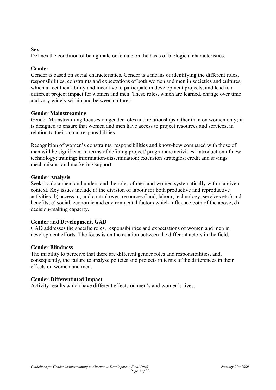#### **Sex**

Defines the condition of being male or female on the basis of biological characteristics.

# **Gender**

Gender is based on social characteristics. Gender is a means of identifying the different roles, responsibilities, constraints and expectations of both women and men in societies and cultures, which affect their ability and incentive to participate in development projects, and lead to a different project impact for women and men. These roles, which are learned, change over time and vary widely within and between cultures.

# **Gender Mainstreaming**

Gender Mainstreaming focuses on gender roles and relationships rather than on women only; it is designed to ensure that women and men have access to project resources and services, in relation to their actual responsibilities.

Recognition of women's constraints, responsibilities and know-how compared with those of men will be significant in terms of defining project/ programme activities: introduction of new technology; training; information-dissemination; extension strategies; credit and savings mechanisms; and marketing support.

#### **Gender Analysis**

Seeks to document and understand the roles of men and women systematically within a given context. Key issues include a) the division of labour for both productive and reproductive activities; b) access to, and control over, resources (land, labour, technology, services etc.) and benefits; c) social, economic and environmental factors which influence both of the above; d) decision-making capacity.

# **Gender and Development, GAD**

GAD addresses the specific roles, responsibilities and expectations of women and men in development efforts. The focus is on the relation between the different actors in the field.

#### **Gender Blindness**

The inability to perceive that there are different gender roles and responsibilities, and, consequently, the failure to analyse policies and projects in terms of the differences in their effects on women and men.

# **Gender-Differentiated Impact**

Activity results which have different effects on men's and women's lives.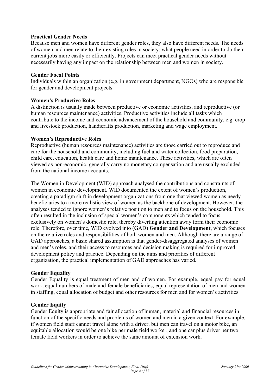#### **Practical Gender Needs**

Because men and women have different gender roles, they also have different needs. The needs of women and men relate to their existing roles in society: what people need in order to do their current jobs more easily or efficiently. Projects can meet practical gender needs without necessarily having any impact on the relationship between men and women in society.

#### **Gender Focal Points**

Individuals within an organization (e.g. in government department, NGOs) who are responsible for gender and development projects.

#### **Women's Productive Roles**

A distinction is usually made between productive or economic activities, and reproductive (or human resources maintenance) activities. Productive activities include all tasks which contribute to the income and economic advancement of the household and community, e.g. crop and livestock production, handicrafts production, marketing and wage employment.

#### **Women's Reproductive Roles**

Reproductive (human resources maintenance) activities are those carried out to reproduce and care for the household and community, including fuel and water collection, food preparation, child care, education, health care and home maintenance. These activities, which are often viewed as non-economic, generally carry no monetary compensation and are usually excluded from the national income accounts.

The Women in Development (WID) approach analysed the contributions and constraints of women in economic development. WID documented the extent of women's production, creating a paradigm shift in development organizations from one that viewed women as needy beneficiaries to a more realistic view of women as the backbone of development. However, the analyses tended to ignore women's relative position to men and to focus on the household. This often resulted in the inclusion of special women's components which tended to focus exclusively on women's domestic role, thereby diverting attention away form their economic role. Therefore, over time, WID evolved into (GAD) **Gender and Development**, which focuses on the relative roles and responsibilities of both women and men. Although there are a range of GAD approaches, a basic shared assumption is that gender-disaggregated analyses of women and men's roles, and their access to resources and decision making is required for improved development policy and practice. Depending on the aims and priorities of different organization, the practical implementation of GAD approaches has varied.

#### **Gender Equality**

Gender Equality is equal treatment of men and of women. For example, equal pay for equal work, equal numbers of male and female beneficiaries, equal representation of men and women in staffing, equal allocation of budget and other resources for men and for women's activities.

#### **Gender Equity**

Gender Equity is appropriate and fair allocation of human, material and financial resources in function of the specific needs and problems of women and men in a given context. For example, if women field staff cannot travel alone with a driver, but men can travel on a motor bike, an equitable allocation would be one bike per male field worker, and one car plus driver per two female field workers in order to achieve the same amount of extension work.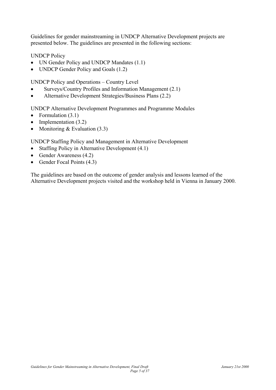Guidelines for gender mainstreaming in UNDCP Alternative Development projects are presented below. The guidelines are presented in the following sections:

UNDCP Policy

- UN Gender Policy and UNDCP Mandates  $(1.1)$
- UNDCP Gender Policy and Goals  $(1.2)$

UNDCP Policy and Operations – Country Level

- Surveys/Country Profiles and Information Management (2.1)
- Alternative Development Strategies/Business Plans (2.2)

UNDCP Alternative Development Programmes and Programme Modules

- Formulation  $(3.1)$
- Implementation  $(3.2)$
- Monitoring  $& Evaluation (3.3)$

UNDCP Staffing Policy and Management in Alternative Development

- Staffing Policy in Alternative Development (4.1)
- Gender Awareness (4.2)
- Gender Focal Points (4.3)

The guidelines are based on the outcome of gender analysis and lessons learned of the Alternative Development projects visited and the workshop held in Vienna in January 2000.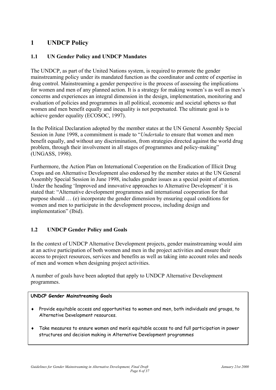# <span id="page-5-0"></span>**1 UNDCP Policy**

# **1.1 UN Gender Policy and UNDCP Mandates**

The UNDCP, as part of the United Nations system, is required to promote the gender mainstreaming policy under its mandated function as the coordinator and centre of expertise in drug control. Mainstreaming a gender perspective is the process of assessing the implications for women and men of any planned action. It is a strategy for making women's as well as men's concerns and experiences an integral dimension in the design, implementation, monitoring and evaluation of policies and programmes in all political, economic and societal spheres so that women and men benefit equally and inequality is not perpetuated. The ultimate goal is to achieve gender equality (ECOSOC, 1997).

In the Political Declaration adopted by the member states at the UN General Assembly Special Session in June 1998, a commitment is made to "*Undertake* to ensure that women and men benefit equally, and without any discrimination, from strategies directed against the world drug problem, through their involvement in all stages of programmes and policy-making" (UNGASS, 1998).

Furthermore, the Action Plan on International Cooperation on the Eradication of Illicit Drug Crops and on Alternative Development also endorsed by the member states at the UN General Assembly Special Session in June 1998, includes gender issues as a special point of attention. Under the heading 'Improved and innovative approaches to Alternative Development' it is stated that: "Alternative development programmes and international cooperation for that purpose should … (e) incorporate the gender dimension by ensuring equal conditions for women and men to participate in the development process, including design and implementation" (Ibid).

# **1.2 UNDCP Gender Policy and Goals**

In the context of UNDCP Alternative Development projects, gender mainstreaming would aim at an active participation of both women and men in the project activities and ensure their access to project resources, services and benefits as well as taking into account roles and needs of men and women when designing project activities.

A number of goals have been adopted that apply to UNDCP Alternative Development programmes.

#### **UNDCP Gender Mainstreaming Goals**

- ♦ Provide equitable access and opportunities to women and men, both individuals and groups, to Alternative Development resources.
- ♦ Take measures to ensure women and men's equitable access to and full participation in power structures and decision making in Alternative Development programmes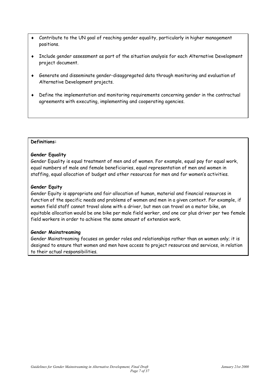- Contribute to the UN goal of reaching gender equality, particularly in higher management positions.
- ♦ Include gender assessment as part of the situation analysis for each Alternative Development project document.
- ♦ Generate and disseminate gender-disaggregated data through monitoring and evaluation of Alternative Development projects.
- ♦ Define the implementation and monitoring requirements concerning gender in the contractual agreements with executing, implementing and cooperating agencies.

#### **Definitions:**

#### **Gender Equality**

Gender Equality is equal treatment of men and of women. For example, equal pay for equal work, equal numbers of male and female beneficiaries, equal representation of men and women in staffing, equal allocation of budget and other resources for men and for women's activities.

#### **Gender Equity**

Gender Equity is appropriate and fair allocation of human, material and financial resources in function of the specific needs and problems of women and men in a given context. For example, if women field staff cannot travel alone with a driver, but men can travel on a motor bike, an equitable allocation would be one bike per male field worker, and one car plus driver per two female field workers in order to achieve the same amount of extension work.

#### **Gender Mainstreaming**

Gender Mainstreaming focuses on gender roles and relationships rather than on women only; it is designed to ensure that women and men have access to project resources and services, in relation to their actual responsibilities.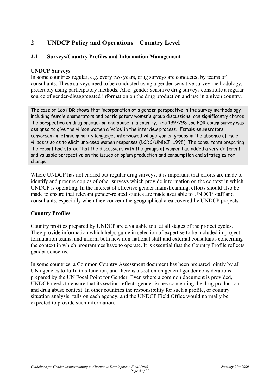# <span id="page-7-0"></span>**2 UNDCP Policy and Operations – Country Level**

# **2.1 Surveys/Country Profiles and Information Management**

# **UNDCP Surveys**

In some countries regular, e.g. every two years, drug surveys are conducted by teams of consultants. These surveys need to be conducted using a gender-sensitive survey methodology, preferably using participatory methods. Also, gender-sensitive drug surveys constitute a regular source of gender-disaggregated information on the drug production and use in a given country.

The case of Lao PDR shows that incorporation of a gender perspective in the survey methodology, including female enumerators and participatory women's group discussions, can significantly change the perspective on drug production and abuse in a country. The 1997/98 Lao PDR opium survey was designed to give the village women a 'voice' in the interview process. Female enumerators conversant in ethnic minority languages interviewed village women groups in the absence of male villagers so as to elicit unbiased women responses (LCDC/UNDCP, 1998). The consultants preparing the report had stated that the discussions with the groups of women had added a very different and valuable perspective on the issues of opium production and consumption and strategies for change.

Where UNDCP has not carried out regular drug surveys, it is important that efforts are made to identify and procure copies of other surveys which provide information on the context in which UNDCP is operating. In the interest of effective gender mainstreaming, efforts should also be made to ensure that relevant gender-related studies are made available to UNDCP staff and consultants, especially when they concern the geographical area covered by UNDCP projects.

# **Country Profiles**

Country profiles prepared by UNDCP are a valuable tool at all stages of the project cycles. They provide information which helps guide in selection of expertise to be included in project formulation teams, and inform both new non-national staff and external consultants concerning the context in which programmes have to operate. It is essential that the Country Profile reflects gender concerns.

In some countries, a Common Country Assessment document has been prepared jointly by all UN agencies to fulfil this function, and there is a section on general gender considerations prepared by the UN Focal Point for Gender. Even where a common document is provided, UNDCP needs to ensure that its section reflects gender issues concerning the drug production and drug abuse context. In other countries the responsibility for such a profile, or country situation analysis, falls on each agency, and the UNDCP Field Office would normally be expected to provide such information.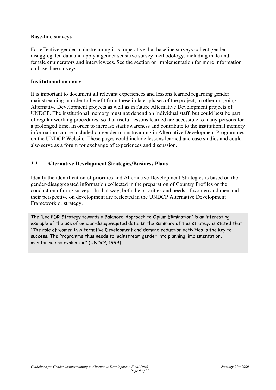#### <span id="page-8-0"></span>**Base-line surveys**

For effective gender mainstreaming it is imperative that baseline surveys collect genderdisaggregated data and apply a gender sensitive survey methodology, including male and female enumerators and interviewees. See the section on implementation for more information on base-line surveys.

#### **Institutional memory**

It is important to document all relevant experiences and lessons learned regarding gender mainstreaming in order to benefit from these in later phases of the project, in other on-going Alternative Development projects as well as in future Alternative Development projects of UNDCP. The institutional memory must not depend on individual staff, but could best be part of regular working procedures, so that useful lessons learned are accessible to many persons for a prolonged time. In order to increase staff awareness and contribute to the institutional memory information can be included on gender mainstreaming in Alternative Development Programmes on the UNDCP Website. These pages could include lessons learned and case studies and could also serve as a forum for exchange of experiences and discussion.

# **2.2 Alternative Development Strategies/Business Plans**

Ideally the identification of priorities and Alternative Development Strategies is based on the gender-disaggregated information collected in the preparation of Country Profiles or the conduction of drug surveys. In that way, both the priorities and needs of women and men and their perspective on development are reflected in the UNDCP Alternative Development Framework or strategy.

The "Lao PDR Strategy towards a Balanced Approach to Opium Elimination" is an interesting example of the use of gender-disaggregated data. In the summary of this strategy is stated that "The role of women in Alternative Development and demand reduction activities is the key to success. The Programme thus needs to mainstream gender into planning, implementation, monitoring and evaluation" (UNDCP, 1999).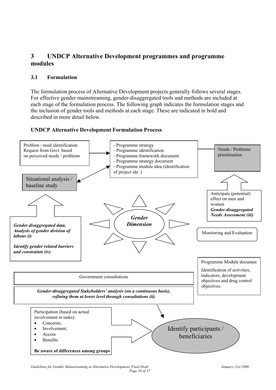# <span id="page-9-0"></span>**3 UNDCP Alternative Development programmes and programme modules**

# **3.1 Formulation**

The formulation process of Alternative Development projects generally follows several stages. For effective gender mainstreaming, gender-disaggregated tools and methods are included at each stage of the formulation process. The following graph indicates the formulation stages and the inclusion of gender tools and methods at each stage. These are indicated in bold and described in more detail below.



# **UNDCP Alternative Development Formulation Process**

**Be aware of differences among groups**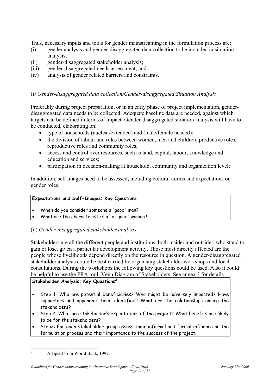Thus, necessary inputs and tools for gender mainstreaming in the formulation process are:

- (i) gender analysis and gender-disaggregated data collection to be included in situation analysis;
- (ii) gender-disaggregated stakeholder analysis;
- (iii) gender-disaggregated needs assessment; and
- (iv) analysis of gender related barriers and constraints.

# (i*) Gender-disaggregated data collection/Gender-disaggregated Situation Analysis*

Preferably during project preparation, or in an early phase of project implementation, genderdisaggregated data needs to be collected. Adequate baseline data are needed, against which targets can be defined in terms of impact. Gender-disaggregated situation analysis will have to be conducted, elaborating on:

- type of households (nuclear/extended) and (male/female headed);
- the division of labour and roles between women, men and children: productive roles, reproductive roles and community roles;
- access and control over resources, such as land, capital, labour, knowledge and education and services;
- participation in decision-making at household, community and organization level;

In addition, self images need to be assessed, including cultural norms and expectations on gender roles.

# **Expectations and Self-Images: Key Questions**

- When do you consider someone a "good" man?
- What are the characteristics of a "good" woman?

(ii) *Gender-disaggregated stakeholder analysis*

Stakeholders are all the different people and institutions, both insider and outsider, who stand to gain or lose, given a particular development activity. Those most directly affected are the people whose livelihoods depend directly on the resource in question. A gender-disaggregated stakeholder analysis could be best carried by organising stakeholder workshops and local consultations. During the workshops the following key questions could be used. Also it could be helpful to use the PRA tool: Venn Diagram of Stakeholders. See annex 3 for details.

# **Stakeholder Analysis: Key Questions[2](#page-10-0) :**

- Step 1: Who are potential beneficiaries? Who might be adversely impacted? Have supporters and opponents been identified? What are the relationships among the stakeholders?
- Step 2: What are stakeholder's expectations of the project? What benefits are likely to be for the stakeholders?
- Step3: For each stakeholder group assess their informal and formal influence on the formulation process and their importance to the success of the project.

<span id="page-10-0"></span> $\frac{1}{2}$ Adapted from World Bank, 1997.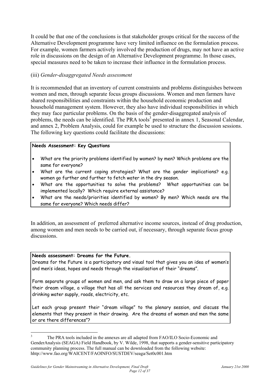It could be that one of the conclusions is that stakeholder groups critical for the success of the Alternative Development programme have very limited influence on the formulation process. For example, women farmers actively involved the production of drugs, may not have an active role in discussions on the design of an Alternative Development programme. In those cases, special measures need to be taken to increase their influence in the formulation process.

# (iii) *Gender-disaggregated Needs assessment*

It is recommended that an inventory of current constraints and problems distinguishes between women and men, through separate focus groups discussions. Women and men farmers have shared responsibilities and constraints within the household economic production and household management system. However, they also have individual responsibilities in which they may face particular problems. On the basis of the gender-disaggregated analysis of problems, the needs can be identified. The PRA tools<sup>3</sup> presented in annex 1, Seasonal Calendar, and annex 2, Problem Analysis, could for example be used to structure the discussion sessions. The following key questions could facilitate the discussions:

#### **Needs Assessment: Key Questions**

- What are the priority problems identified by women? by men? Which problems are the same for everyone?
- What are the current coping strategies? What are the gender implications? e.g. women go further and further to fetch water in the dry season.
- What are the opportunities to solve the problems? What opportunities can be implemented locally? Which require external assistance?
- What are the needs/priorities identified by women? By men? Which needs are the same for everyone? Which needs differ?

In addition, an assessment of preferred alternative income sources, instead of drug production, among women and men needs to be carried out, if necessary, through separate focus group discussions.

# **Needs assessment: Dreams for the Future.**

 $\overline{a}$ 

Dreams for the Future is a participatory and visual tool that gives you an idea of women's and men's ideas, hopes and needs through the visualisation of their "dreams".

Form separate groups of women and men, and ask them to draw on a large piece of paper their dream village, a village that has all the services and resources they dream of, e.g. drinking water supply, roads, electricity, etc.

Let each group present their "dream village" to the plenary session, and discuss the elements that they present in their drawing. Are the dreams of women and men the same or are there differences"?

<span id="page-11-0"></span><sup>3</sup> The PRA tools included in the annexes are all adapted from FAO/ILO Socio-Economic and GenderAnalysis (SEAGA) Field Handbook, by V. Wilde, 1998, that supports a gender-sensitive participatory community planning process. The full manual can be downloaded from the following website: hhtp://www.fao.org/WAICENT/FAOINFO/SUSTDEV/seaga/Set0c001.htm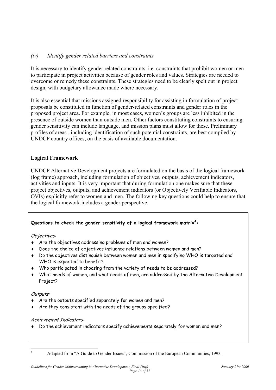# *(iv) Identify gender related barriers and constraints*

It is necessary to identify gender related constraints, i.e. constraints that prohibit women or men to participate in project activities because of gender roles and values. Strategies are needed to overcome or remedy these constraints. These strategies need to be clearly spelt out in project design, with budgetary allowance made where necessary.

It is also essential that missions assigned responsibility for assisting in formulation of project proposals be constituted in function of gender-related constraints and gender roles in the proposed project area. For example, in most cases, women's groups are less inhibited in the presence of outside women than outside men. Other factors constituting constraints to ensuring gender sensitivity can include language, and mission plans must allow for these. Preliminary profiles of areas , including identification of such potential constraints, are best compiled by UNDCP country offices, on the basis of available documentation.

# **Logical Framework**

UNDCP Alternative Development projects are formulated on the basis of the logical framework (log frame) approach, including formulation of objectives, outputs, achievement indicators, activities and inputs. It is very important that during formulation one makes sure that these project objectives, outputs, and achievement indicators (or Objectively Verifiable Indicators, OVIs) explicitly refer to women and men. The following key questions could help to ensure that the logical framework includes a gender perspective.

# **Questions to check the gender sensitivity of a logical framework matrix[4](#page-12-0) :**

Objectives:

- ♦ Are the objectives addressing problems of men and women?
- ♦ Does the choice of objectives influence relations between women and men?
- ♦ Do the objectives distinguish between women and men in specifying WHO is targeted and WHO is expected to benefit?
- ♦ Who participated in choosing from the variety of needs to be addressed?
- ♦ What needs of women, and what needs of men, are addressed by the Alternative Development Project?

# Outputs:

- ♦ Are the outputs specified separately for women and men?
- ♦ Are they consistent with the needs of the groups specified?

#### Achievement Indicators:

♦ Do the achievement indicators specify achievements separately for women and men?

<span id="page-12-0"></span> $\frac{1}{4}$ 

Adapted from "A Guide to Gender Issues", Commission of the European Communities, 1993.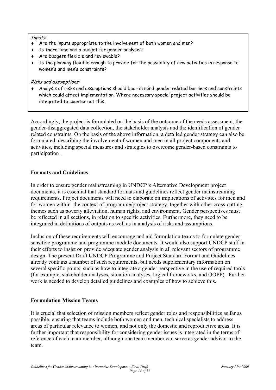#### Inputs:

- $\bullet$  Are the inputs appropriate to the involvement of both women and men?
- ♦ Is there time and a budget for gender analysis?
- ♦ Are budgets flexible and reviewable?
- ♦ Is the planning flexible enough to provide for the possibility of new activities in response to women's and men's constraints?

#### Risks and assumptions:

♦ Analysis of risks and assumptions should bear in mind gender related barriers and constraints which could affect implementation. Where necessary special project activities should be integrated to counter act this.

Accordingly, the project is formulated on the basis of the outcome of the needs assessment, the gender-disaggregated data collection, the stakeholder analysis and the identification of gender related constraints. On the basis of the above information, a detailed gender strategy can also be formulated, describing the involvement of women and men in all project components and activities, including special measures and strategies to overcome gender-based constraints to participation .

#### **Formats and Guidelines**

In order to ensure gender mainstreaming in UNDCP's Alternative Development project documents, it is essential that standard formats and guidelines reflect gender mainstreaming requirements. Project documents will need to elaborate on implications of activities for men and for women within the context of programme/project strategy, together with other cross-cutting themes such as poverty alleviation, human rights, and environment. Gender perspectives must be reflected in all sections, in relation to specific activities. Furthermore, they need to be integrated in definitions of outputs as well as in analysis of risks and assumptions.

Inclusion of these requirements will encourage and aid formulation teams to formulate gender sensitive programme and programme module documents. It would also support UNDCP staff in their efforts to insist on provide adequate gender analysis in all relevant sectors of programme design. The present Draft UNDCP Programme and Project Standard Format and Guidelines already contains a number of such requirements, but needs supplementary information on several specific points, such as how to integrate a gender perspective in the use of required tools (for example, stakeholder analyses, situation analyses, logical frameworks, and OOPP). Further work is needed to develop detailed guidelines and examples of how to achieve this.

# **Formulation Mission Teams**

It is crucial that selection of mission members reflect gender roles and responsibilities as far as possible, ensuring that teams include both women and men, technical specialists to address areas of particular relevance to women, and not only the domestic and reproductive areas. It is further important that responsibility for considering gender issues is integrated in the terms of reference of each team member, although one team member can serve as gender advisor to the team.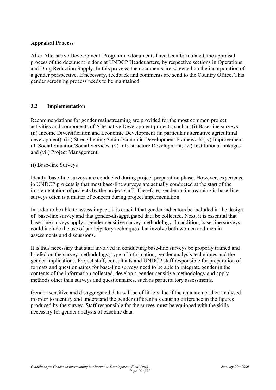# <span id="page-14-0"></span>**Appraisal Process**

After Alternative Development Programme documents have been formulated, the appraisal process of the document is done at UNDCP Headquarters, by respective sections in Operations and Drug Reduction Supply. In this process, the documents are screened on the incorporation of a gender perspective. If necessary, feedback and comments are send to the Country Office. This gender screening process needs to be maintained.

# **3.2 Implementation**

Recommendations for gender mainstreaming are provided for the most common project activities and components of Alternative Development projects, such as (i) Base-line surveys, (ii) Income Diversification and Economic Development (in particular alternative agricultural development), (iii) Strengthening Socio-Economic Development Framework (iv) Improvement of Social Situation/Social Services, (v) Infrastructure Development, (vi) Institutional linkages and (vii) Project Management.

#### (i) Base-line Surveys

Ideally, base-line surveys are conducted during project preparation phase. However, experience in UNDCP projects is that most base-line surveys are actually conducted at the start of the implementation of projects by the project staff. Therefore, gender mainstreaming in base-line surveys often is a matter of concern during project implementation.

In order to be able to assess impact, it is crucial that gender indicators be included in the design of base-line survey and that gender-disaggregated data be collected. Next, it is essential that base-line surveys apply a gender-sensitive survey methodology. In addition, base-line surveys could include the use of participatory techniques that involve both women and men in assessments and discussions.

It is thus necessary that staff involved in conducting base-line surveys be properly trained and briefed on the survey methodology, type of information, gender analysis techniques and the gender implications. Project staff, consultants and UNDCP staff responsible for preparation of formats and questionnaires for base-line surveys need to be able to integrate gender in the contents of the information collected, develop a gender-sensitive methodology and apply methods other than surveys and questionnaires, such as participatory assessments.

Gender-sensitive and disaggregated data will be of little value if the data are not then analysed in order to identify and understand the gender differentials causing difference in the figures produced by the survey. Staff responsible for the survey must be equipped with the skills necessary for gender analysis of baseline data.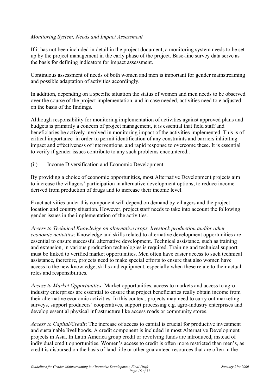# *Monitoring System, Needs and Impact Assessment*

If it has not been included in detail in the project document, a monitoring system needs to be set up by the project management in the early phase of the project. Base-line survey data serve as the basis for defining indicators for impact assessment.

Continuous assessment of needs of both women and men is important for gender mainstreaming and possible adaptation of activities accordingly.

In addition, depending on a specific situation the status of women and men needs to be observed over the course of the project implementation, and in case needed, activities need to e adjusted on the basis of the findings.

Although responsibility for monitoring implementation of activities against approved plans and budgets is primarily a concern of project management, it is essential that field staff and beneficiaries be actively involved in monitoring impact of the activities implemented. This is of critical importance in order to permit identification of any constraints and barriers inhibiting impact and effectiveness of interventions, and rapid response to overcome these. It is essential to verify if gender issues contribute to any such problems encountered..

(ii) Income Diversification and Economic Development

By providing a choice of economic opportunities, most Alternative Development projects aim to increase the villagers' participation in alternative development options, to reduce income derived from production of drugs and to increase their income level.

Exact activities under this component will depend on demand by villagers and the project location and country situation. However, project staff needs to take into account the following gender issues in the implementation of the activities.

*Access to Technical Knowledge on alternative crops, livestock production and/or other economic activities*: Knowledge and skills related to alternative development opportunities are essential to ensure successful alternative development. Technical assistance, such as training and extension, in various production technologies is required. Training and technical support must be linked to verified market opportunities. Men often have easier access to such technical assistance, therefore, projects need to make special efforts to ensure that also women have access to the new knowledge, skills and equipment, especially when these relate to their actual roles and responsibilities.

*Access to Market Opportunities*: Market opportunities, access to markets and access to agroindustry enterprises are essential to ensure that project beneficiaries really obtain income from their alternative economic activities. In this context, projects may need to carry out marketing surveys, support producers' cooperatives, support processing e.g. agro-industry enterprises and develop essential physical infrastructure like access roads or community stores.

*Access to Capital/Credit*: The increase of access to capital is crucial for productive investment and sustainable livelihoods. A credit component is included in most Alternative Development projects in Asia. In Latin America group credit or revolving funds are introduced, instead of individual credit opportunities. Women's access to credit is often more restricted than men's, as credit is disbursed on the basis of land title or other guaranteed resources that are often in the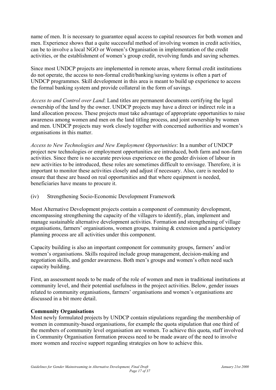name of men. It is necessary to guarantee equal access to capital resources for both women and men. Experience shows that a quite successful method of involving women in credit activities, can be to involve a local NGO or Women's Organisation in implementation of the credit activities, or the establishment of women's group credit, revolving funds and saving schemes.

Since most UNDCP projects are implemented in remote areas, where formal credit institutions do not operate, the access to non-formal credit/banking/saving systems is often a part of UNDCP programmes. Skill development in this area is meant to build up experience to access the formal banking system and provide collateral in the form of savings.

*Access to and Control over Land*: Land titles are permanent documents certifying the legal ownership of the land by the owner. UNDCP projects may have a direct or indirect role in a land allocation process. These projects must take advantage of appropriate opportunities to raise awareness among women and men on the land titling process, and joint ownership by women and men. UNDCP projects may work closely together with concerned authorities and women's organisations in this matter.

*Access to New Technologies and New Employment Opportunities*: In a number of UNDCP project new technologies or employment opportunities are introduced, both farm and non-farm activities. Since there is no accurate previous experience on the gender division of labour in new activities to be introduced, these roles are sometimes difficult to envisage. Therefore, it is important to monitor these activities closely and adjust if necessary. Also, care is needed to ensure that these are based on real opportunities and that where equipment is needed, beneficiaries have means to procure it.

(iv) Strengthening Socio-Economic Development Framework

Most Alternative Development projects contain a component of community development, encompassing strengthening the capacity of the villagers to identify, plan, implement and manage sustainable alternative development activities. Formation and strengthening of village organisations, farmers' organisations, women groups, training & extension and a participatory planning process are all activities under this component.

Capacity building is also an important component for community groups, farmers' and/or women's organisations. Skills required include group management, decision-making and negotiation skills, and gender awareness. Both men's groups and women's often need such capacity building.

First, an assessment needs to be made of the role of women and men in traditional institutions at community level, and their potential usefulness in the project activities. Below, gender issues related to community organisations, farmers' organisations and women's organisations are discussed in a bit more detail.

# **Community Organisations**

Most newly formulated projects by UNDCP contain stipulations regarding the membership of women in community-based organisations, for example the quota stipulation that one third of the members of community level organisation are women. To achieve this quota, staff involved in Community Organisation formation process need to be made aware of the need to involve more women and receive support regarding strategies on how to achieve this.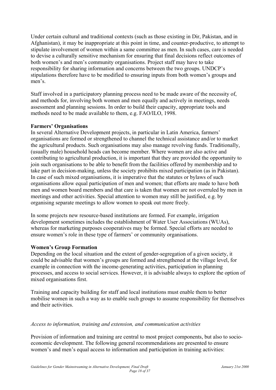Under certain cultural and traditional contexts (such as those existing in Dir, Pakistan, and in Afghanistan), it may be inappropriate at this point in time, and counter-productive, to attempt to stipulate involvement of women within a same committee as men. In such cases, care is needed to devise a culturally sensitive mechanism for ensuring that final decisions reflect outcomes of both women's and men's community organisations. Project staff may have to take responsibility for sharing information and concerns between the two groups. UNDCP's stipulations therefore have to be modified to ensuring inputs from both women's groups and men's.

Staff involved in a participatory planning process need to be made aware of the necessity of, and methods for, involving both women and men equally and actively in meetings, needs assessment and planning sessions. In order to build their capacity, appropriate tools and methods need to be made available to them, e.g. FAO/ILO, 1998.

# **Farmers' Organisations**

In several Alternative Development projects, in particular in Latin America, farmers' organisations are formed or strengthened to channel the technical assistance and/or to market the agricultural products. Such organisations may also manage revolving funds. Traditionally, (usually male) household heads can become member. Where women are also active and contributing to agricultural production, it is important that they are provided the opportunity to join such organisations to be able to benefit from the facilities offered by membership and to take part in decision-making, unless the society prohibits mixed participation (as in Pakistan). In case of such mixed organisations, it is imperative that the statutes or bylaws of such organisations allow equal participation of men and women; that efforts are made to have both men and women board members and that care is taken that women are not overruled by men in meetings and other activities. Special attention to women may still be justified, e.g. by organising separate meetings to allow women to speak out more freely.

In some projects new resource-based institutions are formed. For example, irrigation development sometimes includes the establishment of Water User Associations (WUAs), whereas for marketing purposes cooperatives may be formed. Special efforts are needed to ensure women's role in these type of farmers' or community organisations.

# **Women's Group Formation**

Depending on the local situation and the extent of gender-segregation of a given society, it could be advisable that women's groups are formed and strengthened at the village level, for example in connection with the income-generating activities, participation in planning processes, and access to social services. However, it is advisable always to explore the option of mixed organisations first.

Training and capacity building for staff and local institutions must enable them to better mobilise women in such a way as to enable such groups to assume responsibility for themselves and their activities.

# *Access to information, training and extension, and communication activities*

Provision of information and training are central to most project components, but also to socioeconomic development. The following general recommendations are presented to ensure women's and men's equal access to information and participation in training activities: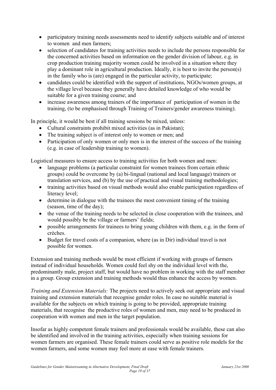- participatory training needs assessments need to identify subjects suitable and of interest to women and men farmers;
- selection of candidates for training activities needs to include the persons responsible for the concerned activities based on information on the gender division of labour, e.g. in crop production training majority women could be involved in a situation where they play a dominant role in agricultural production. Ideally, it is best to invite the person(s) in the family who is (are) engaged in the particular activity, to participate;
- candidates could be identified with the support of institutions, NGOs/women groups, at the village level because they generally have detailed knowledge of who would be suitable for a given training course; and
- increase awareness among trainers of the importance of participation of women in the training, (to be emphasised through Training of Trainers/gender awareness training).

In principle, it would be best if all training sessions be mixed, unless:

- Cultural constraints prohibit mixed activities (as in Pakistan);
- The training subject is of interest only to women or men; and
- Participation of only women or only men is in the interest of the success of the training (e.g. in case of leadership training to women).

Logistical measures to ensure access to training activities for both women and men:

- language problems (a particular constraint for women trainees from certain ethnic groups) could be overcome by (a) bi-lingual (national and local language) trainers or translation services, and (b) by the use of practical and visual training methodologies;
- training activities based on visual methods would also enable participation regardless of literacy level;
- determine in dialogue with the trainees the most convenient timing of the training (season, time of the day);
- the venue of the training needs to be selected in close cooperation with the trainees, and would possibly be the village or farmers' fields;
- possible arrangements for trainees to bring young children with them, e.g. in the form of crèches.
- Budget for travel costs of a companion, where (as in Dir) individual travel is not possible for women.

Extension and training methods would be most efficient if working with groups of farmers instead of individual households. Women could feel shy on the individual level with the, predominantly male, project staff, but would have no problem in working with the staff member in a group. Group extension and training methods would thus enhance the access by women.

*Training and Extension Materials:* The projects need to actively seek out appropriate and visual training and extension materials that recognise gender roles. In case no suitable material is available for the subjects on which training is going to be provided, appropriate training materials, that recognise the productive roles of women and men, may need to be produced in cooperation with women and men in the target population.

Insofar as highly competent female trainers and professionals would be available, these can also be identified and involved in the training activities, especially when training sessions for women farmers are organised. These female trainers could serve as positive role models for the women farmers, and some women may feel more at ease with female trainers.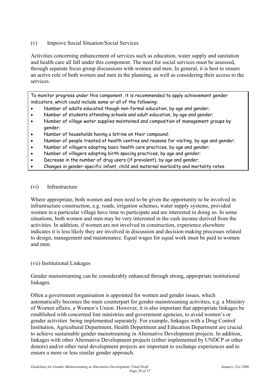# (v) Improve Social Situation/Social Services

Activities concerning enhancement of services such as education, water supply and sanitation and health care all fall under this component. The need for social services must be assessed, through separate focus group discussions with women and men. In general, it is best to ensure an active role of both women and men in the planning, as well as considering their access to the services.

To monitor progress under this component, it is recommended to apply achievement gender indicators, which could include some or all of the following:

- Number of adults educated though non-formal education, by age and gender;
- Number of students attending schools and adult education, by age and gender;
- Number of village water supplies maintained and composition of management groups by gender;
- Number of households having a latrine on their compound;
- Number of people treated at health centres and reasons for visiting, by age and gender;
- Number of villagers adopting basic health care practices, by age and gender;
- Number of villagers adopting birth spacing practices, by age and gender;
- Decrease in the number of drug users (if prevalent), by age and gender;
- Changes in gender-specific infant, child and maternal morbidity and mortality rates.

# (vi) Infrastructure

Where appropriate, both women and men need to be given the opportunity to be involved in infrastructure construction, e.g. roads, irrigation schemes, water supply systems, provided women in a particular village have time to participate and are interested in doing so. In some situations, both women and men may be very interested in the cash income derived from the activities. In addition, if women are not involved in construction, experience elsewhere indicates it is less likely they are involved in discussion and decision making processes related to design, management and maintenance. Equal wages for equal work must be paid to women and men.

# (vii) Institutional Linkages

Gender mainstreaming can be considerably enhanced through strong, appropriate institutional linkages.

Often a government organisation is appointed for women and gender issues, which automatically becomes the main counterpart for gender mainstreaming activities, e.g. a Ministry of Women affairs, a Women's Union. However, it is also important that appropriate linkages be established with concerned line ministries and government agencies, to avoid women's or gender activities being implemented separately. For example, linkages with a Drug Control Institution, Agricultural Department, Health Department and Education Department are crucial to achieve sustainable gender mainstreaming in Alternative Development projects. In addition, linkages with other Alternative Development projects (either implemented by UNDCP or other donors) and/or other rural development projects are important to exchange experiences and to ensure a more or less similar gender approach.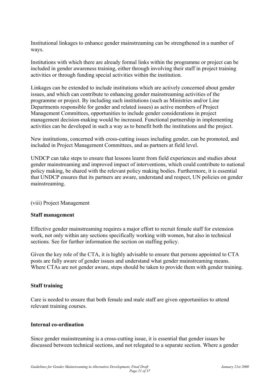Institutional linkages to enhance gender mainstreaming can be strengthened in a number of ways.

Institutions with which there are already formal links within the programme or project can be included in gender awareness training, either through involving their staff in project training activities or through funding special activities within the institution.

Linkages can be extended to include institutions which are actively concerned about gender issues, and which can contribute to enhancing gender mainstreaming activities of the programme or project. By including such institutions (such as Ministries and/or Line Departments responsible for gender and related issues) as active members of Project Management Committees, opportunities to include gender considerations in project management decision-making would be increased. Functional partnership in implementing activities can be developed in such a way as to benefit both the institutions and the project.

New institutions, concerned with cross-cutting issues including gender, can be promoted, and included in Project Management Committees, and as partners at field level.

UNDCP can take steps to ensure that lessons learnt from field experiences and studies about gender mainstreaming and improved impact of interventions, which could contribute to national policy making, be shared with the relevant policy making bodies. Furthermore, it is essential that UNDCP ensures that its partners are aware, understand and respect, UN policies on gender mainstreaming.

(viii) Project Management

#### **Staff management**

Effective gender mainstreaming requires a major effort to recruit female staff for extension work, not only within any sections specifically working with women, but also in technical sections. See for further information the section on staffing policy.

Given the key role of the CTA, it is highly advisable to ensure that persons appointed to CTA posts are fully aware of gender issues and understand what gender mainstreaming means. Where CTAs are not gender aware, steps should be taken to provide them with gender training.

# **Staff training**

Care is needed to ensure that both female and male staff are given opportunities to attend relevant training courses.

# **Internal co-ordination**

Since gender mainstreaming is a cross-cutting issue, it is essential that gender issues be discussed between technical sections, and not relegated to a separate section. Where a gender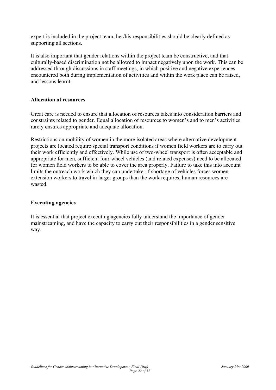expert is included in the project team, her/his responsibilities should be clearly defined as supporting all sections.

It is also important that gender relations within the project team be constructive, and that culturally-based discrimination not be allowed to impact negatively upon the work. This can be addressed through discussions in staff meetings, in which positive and negative experiences encountered both during implementation of activities and within the work place can be raised, and lessons learnt.

#### **Allocation of resources**

Great care is needed to ensure that allocation of resources takes into consideration barriers and constraints related to gender. Equal allocation of resources to women's and to men's activities rarely ensures appropriate and adequate allocation.

Restrictions on mobility of women in the more isolated areas where alternative development projects are located require special transport conditions if women field workers are to carry out their work efficiently and effectively. While use of two-wheel transport is often acceptable and appropriate for men, sufficient four-wheel vehicles (and related expenses) need to be allocated for women field workers to be able to cover the area properly. Failure to take this into account limits the outreach work which they can undertake: if shortage of vehicles forces women extension workers to travel in larger groups than the work requires, human resources are wasted.

# **Executing agencies**

It is essential that project executing agencies fully understand the importance of gender mainstreaming, and have the capacity to carry out their responsibilities in a gender sensitive way.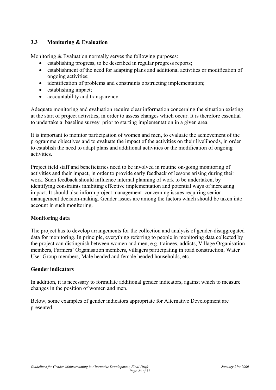# <span id="page-22-0"></span>**3.3 Monitoring & Evaluation**

Monitoring & Evaluation normally serves the following purposes:

- establishing progress, to be described in regular progress reports;
- establishment of the need for adapting plans and additional activities or modification of ongoing activities;
- identification of problems and constraints obstructing implementation;
- establishing impact;
- accountability and transparency.

Adequate monitoring and evaluation require clear information concerning the situation existing at the start of project activities, in order to assess changes which occur. It is therefore essential to undertake a baseline survey prior to starting implementation in a given area.

It is important to monitor participation of women and men, to evaluate the achievement of the programme objectives and to evaluate the impact of the activities on their livelihoods, in order to establish the need to adapt plans and additional activities or the modification of ongoing activities.

Project field staff and beneficiaries need to be involved in routine on-going monitoring of activities and their impact, in order to provide early feedback of lessons arising during their work. Such feedback should influence internal planning of work to be undertaken, by identifying constraints inhibiting effective implementation and potential ways of increasing impact. It should also inform project management concerning issues requiring senior management decision-making. Gender issues are among the factors which should be taken into account in such monitoring.

# **Monitoring data**

The project has to develop arrangements for the collection and analysis of gender-disaggregated data for monitoring. In principle, everything referring to people in monitoring data collected by the project can distinguish between women and men, e.g. trainees, addicts, Village Organisation members, Farmers' Organisation members, villagers participating in road construction, Water User Group members, Male headed and female headed households, etc.

# **Gender indicators**

In addition, it is necessary to formulate additional gender indicators, against which to measure changes in the position of women and men.

Below, some examples of gender indicators appropriate for Alternative Development are presented.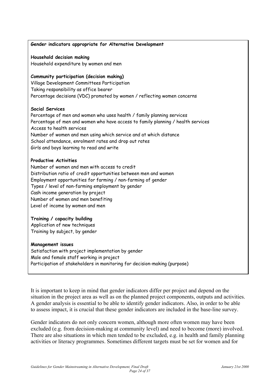#### **Gender indicators appropriate for Alternative Development**

**Household decision making** 

Household expenditure by women and men

#### **Community participation (decision making)**

Village Development Committees Participation Taking responsibility as office bearer Percentage decisions (VDC) promoted by women / reflecting women concerns

#### **Social Services**

Percentage of men and women who uses health / family planning services Percentage of men and women who have access to family planning / health services Access to health services Number of women and men using which service and at which distance School attendance, enrolment rates and drop out rates Girls and boys learning to read and write

#### **Productive Activities**

Number of women and men with access to credit Distribution ratio of credit opportunities between men and women Employment opportunities for farming / non-farming of gender Types / level of non-farming employment by gender Cash income generation by project Number of women and men benefiting Level of income by women and men

#### **Training / capacity building**

Application of new techniques Training by subject, by gender

#### **Management issues**

Satisfaction with project implementation by gender Male and female staff working in project Participation of stakeholders in monitoring for decision-making (purpose)

It is important to keep in mind that gender indicators differ per project and depend on the situation in the project area as well as on the planned project components, outputs and activities. A gender analysis is essential to be able to identify gender indicators. Also, in order to be able to assess impact, it is crucial that these gender indicators are included in the base-line survey.

Gender indicators do not only concern women, although more often women may have been excluded (e.g. from decision-making at community level) and need to become (more) involved. There are also situations in which men tended to be excluded, e.g. in health and family planning activities or literacy programmes. Sometimes different targets must be set for women and for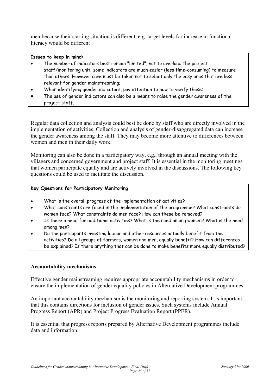men because their starting situation is different, e.g. target levels for increase in functional literacy would be different .

#### **Issues to keep in mind:**

- The number of indicators best remain "limited", not to overload the project staff/monitoring unit; some indicators are much easier (less time-consuming) to measure than others. However care must be taken not to select only the easy ones that are less relevant for gender mainstreaming;
- When identifying gender indicators, pay attention to how to verify these;
- The use of gender indicators can also be a means to raise the gender awareness of the project staff.

Regular data collection and analysis could best be done by staff who are directly involved in the implementation of activities. Collection and analysis of gender-disaggregated data can increase the gender awareness among the staff. They may become more attentive to differences between women and men in their daily work.

Monitoring can also be done in a participatory way, e.g., through an annual meeting with the villagers and concerned government and project staff. It is essential in the monitoring meetings that women participate equally and are actively involved in the discussions. The following key questions could be used to facilitate the discussion.

#### **Key Questions for Participatory Monitoring**

- What is the overall progress of the implementation of activities?
- What constraints are faced in the implementation of the programme? What constraints do women face? What constraints do men face? How can these be removed?
- Is there a need for additional activities? What is the need among women? What is the need among men?
- Do the participants investing labour and other resources actually benefit from the activities? Do all groups of farmers, women and men, equally benefit? How can differences be explained? Is there anything that can be done to make benefits more equally distributed?

# **Accountability mechanisms**

Effective gender mainstreaming requires appropriate accountability mechanisms in order to ensure the implementation of gender equality policies in Alternative Development programmes.

An important accountability mechanism is the monitoring and reporting system. It is important that this contains directions for inclusion of gender issues. Such systems include Annual Progress Report (APR) and Project Progress Evaluation Report (PPER).

It is essential that progress reports prepared by Alternative Development programmes include data and information.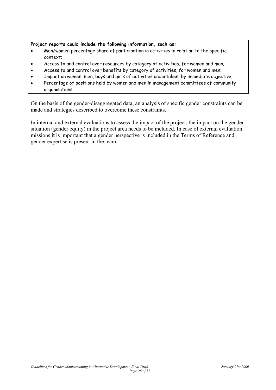#### **Project reports could include the following information, such as:**

- Men/women percentage share of participation in activities in relation to the specific context;
- Access to and control over resources by category of activities, for women and men;
- Access to and control over benefits by category of activities, for women and men;
- Impact on women, men, boys and girls of activities undertaken, by immediate objective;
- Percentage of positions held by women and men in management committees of community organisations.

On the basis of the gender-disaggregated data, an analysis of specific gender constraints can be made and strategies described to overcome these constraints.

In internal and external evaluations to assess the impact of the project, the impact on the gender situation (gender equity) in the project area needs to be included. In case of external evaluation missions it is important that a gender perspective is included in the Terms of Reference and gender expertise is present in the team.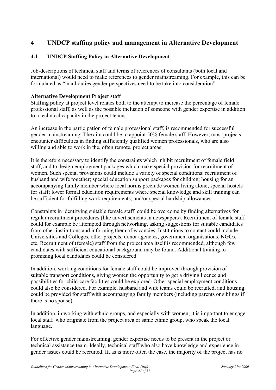# <span id="page-26-0"></span>**4 UNDCP staffing policy and management in Alternative Development**

# **4.1 UNDCP Staffing Policy in Alternative Development**

Job-descriptions of technical staff and terms of references of consultants (both local and international) would need to make references to gender mainstreaming. For example, this can be formulated as "in all duties gender perspectives need to be take into consideration".

# **Alternative Development Project staff**

Staffing policy at project level relates both to the attempt to increase the percentage of female professional staff, as well as the possible inclusion of someone with gender expertise in addition to a technical capacity in the project teams.

An increase in the participation of female professional staff, is recommended for successful gender mainstreaming. The aim could be to appoint 50% female staff. However, most projects encounter difficulties in finding sufficiently qualified women professionals, who are also willing and able to work in the, often remote, project areas.

It is therefore necessary to identify the constraints which inhibit recruitment of female field staff, and to design employment packages which make special provision for recruitment of women. Such special provisions could include a variety of special conditions: recruitment of husband and wife together; special education support packages for children; housing for an accompanying family member where local norms preclude women living alone; special hostels for staff; lower formal education requirements where special knowledge and skill training can be sufficient for fulfilling work requirements; and/or special hardship allowances.

Constraints in identifying suitable female staff could be overcome by finding alternatives for regular recruitment procedures (like advertisements in newspapers). Recruitment of female staff could for example be attempted through networking, asking suggestions for suitable candidates from other institutions and informing them of vacancies. Institutions to contact could include Universities and Colleges, other projects, donor agencies, government organisations, NGOs, etc. Recruitment of (female) staff from the project area itself is recommended, although few candidates with sufficient educational background may be found. Additional training to promising local candidates could be considered.

In addition, working conditions for female staff could be improved through provision of suitable transport conditions, giving women the opportunity to get a driving licence and possibilities for child-care facilities could be explored. Other special employment conditions could also be considered. For example, husband and wife teams could be recruited, and housing could be provided for staff with accompanying family members (including parents or siblings if there is no spouse).

In addition, in working with ethnic groups, and especially with women, it is important to engage local staff who originate from the project area or same ethnic group, who speak the local language.

For effective gender mainstreaming, gender expertise needs to be present in the project or technical assistance team. Ideally, technical staff who also have knowledge and experience in gender issues could be recruited. If, as is more often the case, the majority of the project has no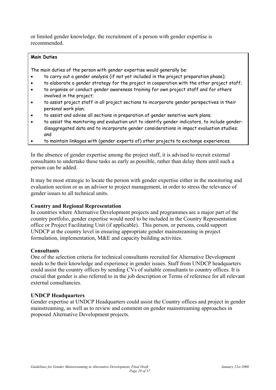or limited gender knowledge, the recruitment of a person with gender expertise is recommended.

#### **Main Duties**

The main duties of the person with gender expertise would generally be:

- to carry out a gender analysis (if not yet included in the project preparation phase);
- to elaborate a gender strategy for the project in cooperation with the other project staff;
- to organise or conduct gender awareness training for own project staff and for others involved in the project;
- to assist project staff in all project sections to incorporate gender perspectives in their personal work plan;
- to assist and advise all sections in preparation of gender sensitive work plans;
- to assist the monitoring and evaluation unit to identify gender indicators, to include genderdisaggregated data and to incorporate gender considerations in impact evaluation studies; and
- to maintain linkages with (gender experts of) other projects to exchange experiences.

In the absence of gender expertise among the project staff, it is advised to recruit external consultants to undertake these tasks as early as possible, rather than delay them until such a person can be added.

It may be most strategic to locate the person with gender expertise either in the monitoring and evaluation section or as an advisor to project management, in order to stress the relevance of gender issues to all technical units.

# **Country and Regional Representation**

In countries where Alternative Development projects and programmes are a major part of the country portfolio, gender expertise would need to be included in the Country Representation office or Project Facilitating Unit (if applicable). This person, or persons, could support UNDCP at the country level in ensuring appropriate gender mainstreaming in project formulation, implementation, M&E and capacity building activities.

# **Consultants**

One of the selection criteria for technical consultants recruited for Alternative Development needs to be their knowledge and experience in gender issues. Staff from UNDCP headquarters could assist the country offices by sending CVs of suitable consultants to country offices. It is crucial that gender is also referred to in the job description or Terms of reference for all relevant external consultancies.

# **UNDCP Headquarters**

Gender expertise at UNDCP Headquarters could assist the Country offices and project in gender mainstreaming, as well as to review and comment on gender mainstreaming approaches in proposed Alternative Development projects.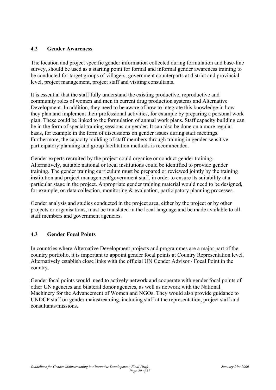# <span id="page-28-0"></span>**4.2 Gender Awareness**

The location and project specific gender information collected during formulation and base-line survey, should be used as a starting point for formal and informal gender awareness training to be conducted for target groups of villagers, government counterparts at district and provincial level, project management, project staff and visiting consultants.

It is essential that the staff fully understand the existing productive, reproductive and community roles of women and men in current drug production systems and Alternative Development. In addition, they need to be aware of how to integrate this knowledge in how they plan and implement their professional activities, for example by preparing a personal work plan. These could be linked to the formulation of annual work plans. Staff capacity building can be in the form of special training sessions on gender. It can also be done on a more regular basis, for example in the form of discussions on gender issues during staff meetings. Furthermore, the capacity building of staff members through training in gender-sensitive participatory planning and group facilitation methods is recommended.

Gender experts recruited by the project could organise or conduct gender training. Alternatively, suitable national or local institutions could be identified to provide gender training. The gender training curriculum must be prepared or reviewed jointly by the training institution and project management/government staff, in order to ensure its suitability at a particular stage in the project. Appropriate gender training material would need to be designed, for example, on data collection, monitoring & evaluation, participatory planning processes.

Gender analysis and studies conducted in the project area, either by the project or by other projects or organisations, must be translated in the local language and be made available to all staff members and government agencies.

# **4.3 Gender Focal Points**

In countries where Alternative Development projects and programmes are a major part of the country portfolio, it is important to appoint gender focal points at Country Representation level. Alternatively establish close links with the official UN Gender Advisor / Focal Point in the country.

Gender focal points would need to actively network and cooperate with gender focal points of other UN agencies and bilateral donor agencies, as well as network with the National Machinery for the Advancement of Women and NGOs. They would also provide guidance to UNDCP staff on gender mainstreaming, including staff at the representation, project staff and consultants/missions.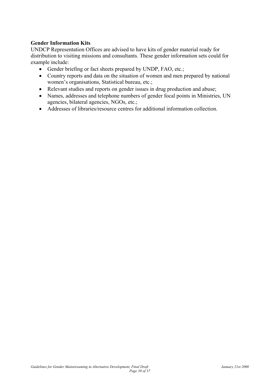# **Gender Information Kits**

UNDCP Representation Offices are advised to have kits of gender material ready for distribution to visiting missions and consultants. These gender information sets could for example include:

- Gender briefing or fact sheets prepared by UNDP, FAO, etc.;
- Country reports and data on the situation of women and men prepared by national women's organisations, Statistical bureau, etc.;
- Relevant studies and reports on gender issues in drug production and abuse;
- Names, addresses and telephone numbers of gender focal points in Ministries, UN agencies, bilateral agencies, NGOs, etc.;
- Addresses of libraries/resource centres for additional information collection.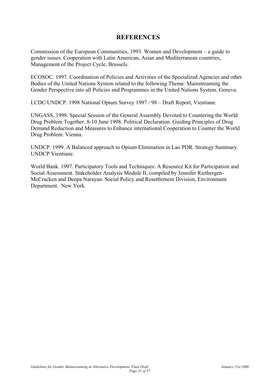# **REFERENCES**

Commission of the European Communities, 1993. Women and Development – a guide to gender issues. Cooperation with Latin American, Asian and Mediterranean countries, Management of the Project Cycle, Brussels.

ECOSOC. 1997. Coordination of Policies and Activities of the Specialized Agencies and other Bodies of the United Nations System related to the following Theme: Mainstreaming the Gender Perspective into all Policies and Programmes in the United Nations System. Geneva.

LCDC/UNDCP. 1998 National Opium Survey 1997 / 98 – Draft Report, Vientiane.

UNGASS. 1998. Special Session of the General Assembly Devoted to Countering the World Drug Problem Together. 8-10 June 1998. Political Declaration. Guiding Principles of Drug Demand Reduction and Measures to Enhance international Cooperation to Counter the World Drug Problem. Vienna.

UNDCP. 1999. A Balanced approach to Opium Elimination in Lao PDR. Strategy Summary. UNDCP Vientiane.

World Bank. 1997. Participatory Tools and Techniques: A Resource Kit for Participation and Social Assessment. Stakeholder Analysis Module II, compiled by Jennifer Rietbergen-McCracken and Deepa Narayan. Social Policy and Resettlement Division, Environment Department. New York.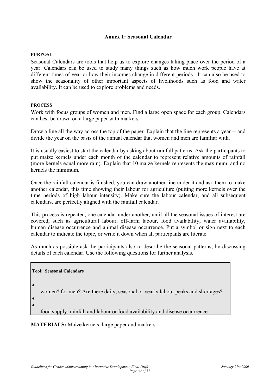#### **Annex 1: Seasonal Calendar**

#### **PURPOSE**

Seasonal Calendars are tools that help us to explore changes taking place over the period of a year. Calendars can be used to study many things such as how much work people have at different times of year or how their incomes change in different periods. It can also be used to show the seasonality of other important aspects of livelihoods such as food and water availability. It can be used to explore problems and needs.

#### **PROCESS**

Work with focus groups of women and men. Find a large open space for each group. Calendars can best be drawn on a large paper with markers.

Draw a line all the way across the top of the paper. Explain that the line represents a year -- and divide the year on the basis of the annual calendar that women and men are familiar with.

It is usually easiest to start the calendar by asking about rainfall patterns. Ask the participants to put maize kernels under each month of the calendar to represent relative amounts of rainfall (more kernels equal more rain). Explain that 10 maize kernels represents the maximum, and no kernels the minimum.

Once the rainfall calendar is finished, you can draw another line under it and ask them to make another calendar, this time showing their labour for agriculture (putting more kernels over the time periods of high labour intensity). Make sure the labour calendar, and all subsequent calendars, are perfectly aligned with the rainfall calendar.

This process is repeated, one calendar under another, until all the seasonal issues of interest are covered, such as agricultural labour, off-farm labour, food availability, water availability, human disease occurrence and animal disease occurrence. Put a symbol or sign next to each calendar to indicate the topic, or write it down when all participants are literate.

As much as possible ask the participants also to describe the seasonal patterns, by discussing details of each calendar. Use the following questions for further analysis.

# **Tool: Seasonal Calendars**

•

women? for men? Are there daily, seasonal or yearly labour peaks and shortages?

• •

food supply, rainfall and labour or food availability and disease occurrence.

**MATERIALS:** Maize kernels, large paper and markers.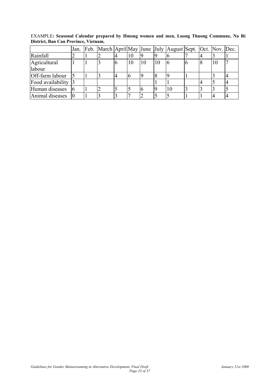|                        | Jan. |  |    |    |  | Feb. March April May June July August Sept. Oct. Nov. Dec. |  |    |  |
|------------------------|------|--|----|----|--|------------------------------------------------------------|--|----|--|
| Rainfall               |      |  | 14 |    |  |                                                            |  |    |  |
| Agricultural<br>labour |      |  |    | 10 |  |                                                            |  | 10 |  |
| Off-farm labour        |      |  | 4  |    |  |                                                            |  |    |  |
| Food availability 3    |      |  |    |    |  |                                                            |  |    |  |
| Human diseases         |      |  |    |    |  | 10                                                         |  |    |  |
| Animal diseases        |      |  |    |    |  |                                                            |  |    |  |

EXAMPLE**: Seasonal Calendar prepared by Hmong women and men, Luong Thuong Commune, Na Ri District, Ban Can Province, Vietnam.**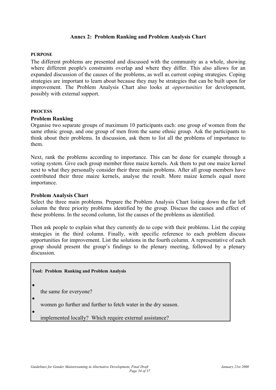#### **Annex 2: Problem Ranking and Problem Analysis Chart**

#### **PURPOSE**

The different problems are presented and discussed with the community as a whole, showing where different people's constraints overlap and where they differ. This also allows for an expanded discussion of the causes of the problems, as well as current coping strategies. Coping strategies are important to learn about because they may be strategies that can be built upon for improvement. The Problem Analysis Chart also looks at *opportunities* for development, possibly with external support.

#### **PROCESS**

#### **Problem Ranking**

Organise two separate groups of maximum 10 participants each: one group of women from the same ethnic group, and one group of men from the same ethnic group. Ask the participants to think about their problems. In discussion, ask them to list all the problems of importance to them.

Next, rank the problems according to importance. This can be done for example through a voting system. Give each group member three maize kernels. Ask them to put one maize kernel next to what they personally consider their three main problems. After all group members have contributed their three maize kernels, analyse the result. More maize kernels equal more importance.

#### **Problem Analysis Chart**

Select the three main problems. Prepare the Problem Analysis Chart listing down the far left column the three priority problems identified by the group. Discuss the causes and effect of these problems. In the second column, list the causes of the problems as identified.

Then ask people to explain what they currently do to cope with their problems. List the coping strategies in the third column. Finally, with specific reference to each problem discuss opportunities for improvement. List the solutions in the fourth column. A representative of each group should present the group's findings to the plenary meeting, followed by a plenary discussion.

**Tool: Problem Ranking and Problem Analysis**

the same for everyone?

•

•

women go further and further to fetch water in the dry season.

implemented locally? Which require external assistance? •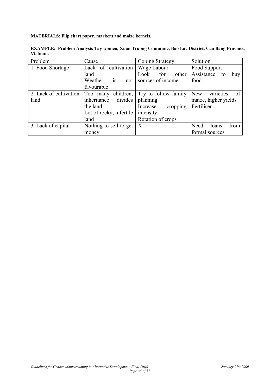#### **MATERIALS: Flip chart paper, markers and maize kernels.**

| Problem                | Cause                   | Coping Strategy      | Solution                       |  |  |
|------------------------|-------------------------|----------------------|--------------------------------|--|--|
| 1. Food Shortage       | Lack of cultivation     | Wage Labour          | Food Support                   |  |  |
|                        | land                    | for<br>other<br>Look | Assistance<br>buy<br>to        |  |  |
|                        | Weather<br>is<br>not    | sources of income    | food                           |  |  |
|                        | favourable              |                      |                                |  |  |
| 2. Lack of cultivation | Too many children,      | Try to follow family | <b>New</b><br>varieties<br>-of |  |  |
| land                   | divides<br>inheritance  | planning             | maize, higher yields           |  |  |
|                        | the land                | Increase<br>cropping | Fertiliser                     |  |  |
|                        | Lot of rocky, infertile | intensity            |                                |  |  |
|                        | land                    | Rotation of crops    |                                |  |  |
| 3. Lack of capital     | Nothing to sell to get  | $\boldsymbol{X}$     | from<br>Need<br>loans          |  |  |
|                        | money                   |                      | formal sources                 |  |  |

**EXAMPLE: Problem Analysis Tay women, Xuan Truong Commune, Bao Lac District, Cao Bang Province, Vietnam.**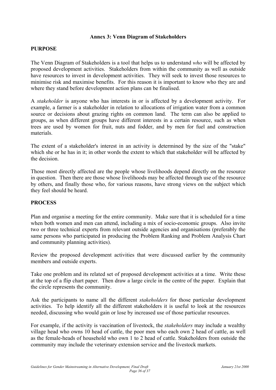#### **Annex 3: Venn Diagram of Stakeholders**

#### **PURPOSE**

The Venn Diagram of Stakeholders is a tool that helps us to understand *who* will be affected by proposed development activities. Stakeholders from within the community as well as outside have resources to invest in development activities. They will seek to invest those resources to minimise risk and maximise benefits. For this reason it is important to know who they are and where they stand before development action plans can be finalised.

A *stakeholder* is anyone who has interests in or is affected by a development activity. For example, a farmer is a stakeholder in relation to allocations of irrigation water from a common source or decisions about grazing rights on common land. The term can also be applied to groups, as when different groups have different interests in a certain resource, such as when trees are used by women for fruit, nuts and fodder, and by men for fuel and construction materials.

The extent of a stakeholder's interest in an activity is determined by the size of the "stake" which she or he has in it; in other words the extent to which that stakeholder will be affected by the decision.

Those most directly affected are the people whose livelihoods depend directly on the resource in question. Then there are those whose livelihoods may be affected through use of the resource by others, and finally those who, for various reasons, have strong views on the subject which they feel should be heard.

#### **PROCESS**

Plan and organise a meeting for the entire community. Make sure that it is scheduled for a time when both women and men can attend, including a mix of socio-economic groups. Also invite two or three technical experts from relevant outside agencies and organisations (preferably the same persons who participated in producing the Problem Ranking and Problem Analysis Chart and community planning activities).

Review the proposed development activities that were discussed earlier by the community members and outside experts.

Take one problem and its related set of proposed development activities at a time. Write these at the top of a flip chart paper. Then draw a large circle in the centre of the paper. Explain that the circle represents the community.

Ask the participants to name all the different *stakeholders* for those particular development activities. To help identify all the different stakeholders it is useful to look at the resources needed, discussing who would gain or lose by increased use of those particular resources.

For example, if the activity is vaccination of livestock, the *stakeholders* may include a wealthy village head who owns 10 head of cattle, the poor men who each own 2 head of cattle, as well as the female-heads of household who own 1 to 2 head of cattle. Stakeholders from outside the community may include the veterinary extension service and the livestock markets.